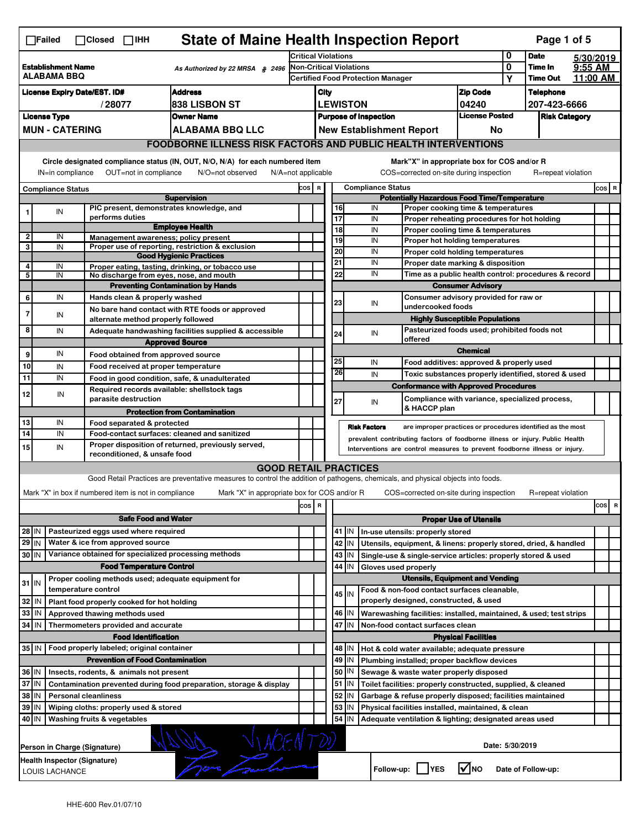|                                                                             | <b>State of Maine Health Inspection Report</b><br>Page 1 of 5<br>$\Box$ Failed<br>$\Box$ Closed<br>$\Box$ IHH                                                         |                              |                                                       |                                                                                                                                                                   |                                                                                   |                                                    |          |                                                           |                                                                                        |                                                                     |                                  |                    |          |          |
|-----------------------------------------------------------------------------|-----------------------------------------------------------------------------------------------------------------------------------------------------------------------|------------------------------|-------------------------------------------------------|-------------------------------------------------------------------------------------------------------------------------------------------------------------------|-----------------------------------------------------------------------------------|----------------------------------------------------|----------|-----------------------------------------------------------|----------------------------------------------------------------------------------------|---------------------------------------------------------------------|----------------------------------|--------------------|----------|----------|
|                                                                             |                                                                                                                                                                       |                              |                                                       | Critical Violations                                                                                                                                               |                                                                                   |                                                    |          |                                                           | 0                                                                                      | <b>Date</b>                                                         |                                  | 5/30/2019          |          |          |
|                                                                             | <b>Establishment Name</b><br>As Authorized by 22 MRSA § 2496<br>ALABAMA BBQ                                                                                           |                              |                                                       | <b>Non-Critical Violations</b><br><b>Certified Food Protection Manager</b>                                                                                        |                                                                                   |                                                    |          |                                                           |                                                                                        | 0<br>Υ                                                              | Time In<br><b>Time Out</b>       | 9:55 AM            | 11:00 AM |          |
|                                                                             | <b>Address</b>                                                                                                                                                        |                              |                                                       |                                                                                                                                                                   |                                                                                   |                                                    |          |                                                           |                                                                                        |                                                                     |                                  |                    |          |          |
| <b>License Expiry Date/EST. ID#</b>                                         |                                                                                                                                                                       |                              |                                                       |                                                                                                                                                                   | <b>Zip Code</b><br>City                                                           |                                                    |          |                                                           |                                                                                        |                                                                     | <b>Telephone</b><br>207-423-6666 |                    |          |          |
| /28077<br><b>1838 LISBON ST</b><br><b>License Type</b><br><b>Owner Name</b> |                                                                                                                                                                       |                              |                                                       |                                                                                                                                                                   | <b>LEWISTON</b><br>04240<br><b>License Posted</b><br><b>Purpose of Inspection</b> |                                                    |          |                                                           |                                                                                        |                                                                     |                                  |                    |          |          |
|                                                                             | <b>MUN - CATERING</b>                                                                                                                                                 |                              |                                                       |                                                                                                                                                                   | <b>Risk Category</b><br><b>New Establishment Report</b><br>No                     |                                                    |          |                                                           |                                                                                        |                                                                     |                                  |                    |          |          |
|                                                                             |                                                                                                                                                                       |                              |                                                       | <b>ALABAMA BBQ LLC</b>                                                                                                                                            |                                                                                   |                                                    |          |                                                           |                                                                                        |                                                                     |                                  |                    |          |          |
|                                                                             | <b>FOODBORNE ILLNESS RISK FACTORS AND PUBLIC HEALTH INTERVENTIONS</b>                                                                                                 |                              |                                                       |                                                                                                                                                                   |                                                                                   |                                                    |          |                                                           |                                                                                        |                                                                     |                                  |                    |          |          |
|                                                                             | Circle designated compliance status (IN, OUT, N/O, N/A) for each numbered item<br>IN=in compliance<br>OUT=not in compliance<br>N/O=not observed<br>N/A=not applicable |                              |                                                       |                                                                                                                                                                   |                                                                                   |                                                    |          |                                                           | Mark"X" in appropriate box for COS and/or R<br>COS=corrected on-site during inspection |                                                                     |                                  | R=repeat violation |          |          |
|                                                                             | <b>Compliance Status</b>                                                                                                                                              |                              |                                                       |                                                                                                                                                                   | <b>Compliance Status</b><br>COS R                                                 |                                                    |          |                                                           |                                                                                        |                                                                     |                                  | $cos$ R            |          |          |
|                                                                             |                                                                                                                                                                       |                              |                                                       | <b>Supervision</b>                                                                                                                                                |                                                                                   | <b>Potentially Hazardous Food Time/Temperature</b> |          |                                                           |                                                                                        |                                                                     |                                  |                    |          |          |
| 1                                                                           | IN                                                                                                                                                                    |                              |                                                       | PIC present, demonstrates knowledge, and                                                                                                                          |                                                                                   |                                                    | 16       |                                                           | IN                                                                                     | Proper cooking time & temperatures                                  |                                  |                    |          |          |
|                                                                             |                                                                                                                                                                       |                              | performs duties                                       | <b>Employee Health</b>                                                                                                                                            |                                                                                   |                                                    | 17<br>18 |                                                           | IN                                                                                     | Proper reheating procedures for hot holding                         |                                  |                    |          |          |
| 2                                                                           | IN                                                                                                                                                                    |                              |                                                       | Management awareness; policy present                                                                                                                              |                                                                                   |                                                    | 19       |                                                           | IN<br>IN                                                                               | Proper cooling time & temperatures                                  |                                  |                    |          |          |
| 3                                                                           | IN                                                                                                                                                                    |                              |                                                       | Proper use of reporting, restriction & exclusion                                                                                                                  |                                                                                   |                                                    | 20       |                                                           | IN                                                                                     | Proper hot holding temperatures<br>Proper cold holding temperatures |                                  |                    |          |          |
|                                                                             |                                                                                                                                                                       |                              |                                                       | <b>Good Hygienic Practices</b>                                                                                                                                    |                                                                                   |                                                    | 21       |                                                           | IN                                                                                     | Proper date marking & disposition                                   |                                  |                    |          |          |
| 4<br>5                                                                      | IN<br>IN                                                                                                                                                              |                              |                                                       | Proper eating, tasting, drinking, or tobacco use<br>No discharge from eyes, nose, and mouth                                                                       |                                                                                   |                                                    | 22       |                                                           | IN                                                                                     | Time as a public health control: procedures & record                |                                  |                    |          |          |
|                                                                             |                                                                                                                                                                       |                              |                                                       | <b>Preventing Contamination by Hands</b>                                                                                                                          |                                                                                   |                                                    |          |                                                           |                                                                                        | <b>Consumer Advisory</b>                                            |                                  |                    |          |          |
| 6                                                                           | IN                                                                                                                                                                    |                              | Hands clean & properly washed                         |                                                                                                                                                                   |                                                                                   |                                                    |          |                                                           |                                                                                        | Consumer advisory provided for raw or                               |                                  |                    |          |          |
|                                                                             |                                                                                                                                                                       |                              |                                                       | No bare hand contact with RTE foods or approved                                                                                                                   |                                                                                   |                                                    | 23       |                                                           | IN<br>undercooked foods                                                                |                                                                     |                                  |                    |          |          |
| 7                                                                           | IN                                                                                                                                                                    |                              | alternate method properly followed                    |                                                                                                                                                                   |                                                                                   |                                                    |          |                                                           |                                                                                        | <b>Highly Susceptible Populations</b>                               |                                  |                    |          |          |
| 8                                                                           | IN                                                                                                                                                                    |                              |                                                       | Adequate handwashing facilities supplied & accessible                                                                                                             |                                                                                   |                                                    | 24       |                                                           | IN                                                                                     | Pasteurized foods used; prohibited foods not                        |                                  |                    |          |          |
|                                                                             |                                                                                                                                                                       |                              |                                                       | <b>Approved Source</b>                                                                                                                                            |                                                                                   |                                                    |          |                                                           | offered                                                                                |                                                                     |                                  |                    |          |          |
| 9                                                                           | IN                                                                                                                                                                    |                              | Food obtained from approved source                    |                                                                                                                                                                   |                                                                                   |                                                    |          |                                                           |                                                                                        | <b>Chemical</b>                                                     |                                  |                    |          |          |
| 10                                                                          | IN                                                                                                                                                                    |                              | Food received at proper temperature                   |                                                                                                                                                                   |                                                                                   |                                                    | 25       |                                                           | IN                                                                                     | Food additives: approved & properly used                            |                                  |                    |          |          |
| 11                                                                          | IN                                                                                                                                                                    |                              |                                                       | Food in good condition, safe, & unadulterated                                                                                                                     |                                                                                   |                                                    | 26       |                                                           | IN                                                                                     | Toxic substances properly identified, stored & used                 |                                  |                    |          |          |
| 12                                                                          |                                                                                                                                                                       |                              |                                                       | Required records available: shellstock tags                                                                                                                       |                                                                                   |                                                    |          |                                                           | <b>Conformance with Approved Procedures</b>                                            |                                                                     |                                  |                    |          |          |
|                                                                             | IN                                                                                                                                                                    |                              | parasite destruction                                  |                                                                                                                                                                   |                                                                                   |                                                    | 27       |                                                           | IN                                                                                     | Compliance with variance, specialized process,                      |                                  |                    |          |          |
|                                                                             |                                                                                                                                                                       |                              |                                                       | <b>Protection from Contamination</b>                                                                                                                              |                                                                                   |                                                    |          |                                                           | & HACCP plan                                                                           |                                                                     |                                  |                    |          |          |
| 13                                                                          | IN                                                                                                                                                                    |                              | Food separated & protected                            |                                                                                                                                                                   |                                                                                   |                                                    |          |                                                           | <b>Risk Factors</b>                                                                    | are improper practices or procedures identified as the most         |                                  |                    |          |          |
| 14                                                                          | IN                                                                                                                                                                    |                              |                                                       | Food-contact surfaces: cleaned and sanitized                                                                                                                      |                                                                                   |                                                    |          |                                                           | prevalent contributing factors of foodborne illness or injury. Public Health           |                                                                     |                                  |                    |          |          |
| 15                                                                          | IN                                                                                                                                                                    |                              | reconditioned, & unsafe food                          | Proper disposition of returned, previously served,                                                                                                                |                                                                                   |                                                    |          |                                                           | Interventions are control measures to prevent foodborne illness or injury.             |                                                                     |                                  |                    |          |          |
|                                                                             |                                                                                                                                                                       |                              |                                                       |                                                                                                                                                                   |                                                                                   |                                                    |          |                                                           |                                                                                        |                                                                     |                                  |                    |          |          |
|                                                                             |                                                                                                                                                                       |                              |                                                       | <b>GOOD RETAIL PRACTICES</b><br>Good Retail Practices are preventative measures to control the addition of pathogens, chemicals, and physical objects into foods. |                                                                                   |                                                    |          |                                                           |                                                                                        |                                                                     |                                  |                    |          |          |
|                                                                             |                                                                                                                                                                       |                              |                                                       |                                                                                                                                                                   |                                                                                   |                                                    |          |                                                           |                                                                                        |                                                                     |                                  |                    |          |          |
|                                                                             |                                                                                                                                                                       |                              | Mark "X" in box if numbered item is not in compliance | Mark "X" in appropriate box for COS and/or R                                                                                                                      |                                                                                   |                                                    |          |                                                           | COS=corrected on-site during inspection                                                |                                                                     |                                  | R=repeat violation |          |          |
|                                                                             |                                                                                                                                                                       |                              |                                                       |                                                                                                                                                                   | cos   R                                                                           |                                                    |          |                                                           |                                                                                        |                                                                     |                                  |                    |          | cos<br>R |
|                                                                             |                                                                                                                                                                       |                              | <b>Safe Food and Water</b>                            |                                                                                                                                                                   |                                                                                   |                                                    |          |                                                           |                                                                                        | <b>Proper Use of Utensils</b>                                       |                                  |                    |          |          |
| 28 IN                                                                       |                                                                                                                                                                       |                              | Pasteurized eggs used where required                  |                                                                                                                                                                   |                                                                                   |                                                    |          |                                                           | 41   IN   In-use utensils: properly stored                                             |                                                                     |                                  |                    |          |          |
| 29 IN                                                                       |                                                                                                                                                                       |                              | Water & ice from approved source                      |                                                                                                                                                                   |                                                                                   |                                                    |          | 42   IN                                                   | Utensils, equipment, & linens: properly stored, dried, & handled                       |                                                                     |                                  |                    |          |          |
| 30 IN                                                                       |                                                                                                                                                                       |                              |                                                       | Variance obtained for specialized processing methods                                                                                                              |                                                                                   |                                                    |          | 43 IN                                                     | Single-use & single-service articles: properly stored & used                           |                                                                     |                                  |                    |          |          |
|                                                                             |                                                                                                                                                                       |                              | <b>Food Temperature Control</b>                       |                                                                                                                                                                   |                                                                                   |                                                    | 44       | IN                                                        | Gloves used properly                                                                   |                                                                     |                                  |                    |          |          |
| $31$ IN                                                                     |                                                                                                                                                                       |                              |                                                       | Proper cooling methods used; adequate equipment for                                                                                                               |                                                                                   |                                                    |          |                                                           | <b>Utensils, Equipment and Vending</b>                                                 |                                                                     |                                  |                    |          |          |
|                                                                             |                                                                                                                                                                       | temperature control          |                                                       |                                                                                                                                                                   |                                                                                   |                                                    |          | 45 IN                                                     | Food & non-food contact surfaces cleanable,                                            |                                                                     |                                  |                    |          |          |
| 32 IN                                                                       |                                                                                                                                                                       |                              | Plant food properly cooked for hot holding            |                                                                                                                                                                   |                                                                                   |                                                    |          |                                                           | properly designed, constructed, & used                                                 |                                                                     |                                  |                    |          |          |
| 33   IN                                                                     |                                                                                                                                                                       |                              | Approved thawing methods used                         |                                                                                                                                                                   |                                                                                   |                                                    |          | 46 IN                                                     | Warewashing facilities: installed, maintained, & used; test strips                     |                                                                     |                                  |                    |          |          |
| 34 IN                                                                       |                                                                                                                                                                       |                              | Thermometers provided and accurate                    |                                                                                                                                                                   |                                                                                   |                                                    | 47       | IN                                                        | Non-food contact surfaces clean                                                        |                                                                     |                                  |                    |          |          |
|                                                                             |                                                                                                                                                                       |                              | <b>Food Identification</b>                            |                                                                                                                                                                   |                                                                                   |                                                    |          |                                                           |                                                                                        | <b>Physical Facilities</b>                                          |                                  |                    |          |          |
|                                                                             |                                                                                                                                                                       |                              | 35 IN   Food properly labeled; original container     |                                                                                                                                                                   |                                                                                   |                                                    |          | 48   IN                                                   | Hot & cold water available; adequate pressure                                          |                                                                     |                                  |                    |          |          |
|                                                                             |                                                                                                                                                                       |                              | <b>Prevention of Food Contamination</b>               |                                                                                                                                                                   |                                                                                   |                                                    |          | 49 IN                                                     | Plumbing installed; proper backflow devices                                            |                                                                     |                                  |                    |          |          |
| 36 IN<br>Insects, rodents, & animals not present                            |                                                                                                                                                                       |                              |                                                       |                                                                                                                                                                   |                                                                                   | 50                                                 | IN       | Sewage & waste water properly disposed                    |                                                                                        |                                                                     |                                  |                    |          |          |
|                                                                             | 37 IN<br>Contamination prevented during food preparation, storage & display                                                                                           |                              |                                                       |                                                                                                                                                                   |                                                                                   |                                                    |          | 51 J IN                                                   | Toilet facilities: properly constructed, supplied, & cleaned                           |                                                                     |                                  |                    |          |          |
|                                                                             | 38   IN<br><b>Personal cleanliness</b>                                                                                                                                |                              |                                                       |                                                                                                                                                                   |                                                                                   | 52                                                 | IN.      | Garbage & refuse properly disposed; facilities maintained |                                                                                        |                                                                     |                                  |                    |          |          |
|                                                                             | 39 IN<br>Wiping cloths: properly used & stored                                                                                                                        |                              |                                                       |                                                                                                                                                                   |                                                                                   |                                                    | 53       | IN                                                        | Physical facilities installed, maintained, & clean                                     |                                                                     |                                  |                    |          |          |
| 40 IN                                                                       |                                                                                                                                                                       | Washing fruits & vegetables  |                                                       |                                                                                                                                                                   |                                                                                   |                                                    | 54       | IN                                                        | Adequate ventilation & lighting; designated areas used                                 |                                                                     |                                  |                    |          |          |
|                                                                             | Date: 5/30/2019<br>Person in Charge (Signature)                                                                                                                       |                              |                                                       |                                                                                                                                                                   |                                                                                   |                                                    |          |                                                           |                                                                                        |                                                                     |                                  |                    |          |          |
|                                                                             | LOUIS LACHANCE                                                                                                                                                        | Health Inspector (Signature) |                                                       |                                                                                                                                                                   |                                                                                   |                                                    |          |                                                           | Follow-up:     YES                                                                     | $\sqrt{\ }$ NO                                                      |                                  | Date of Follow-up: |          |          |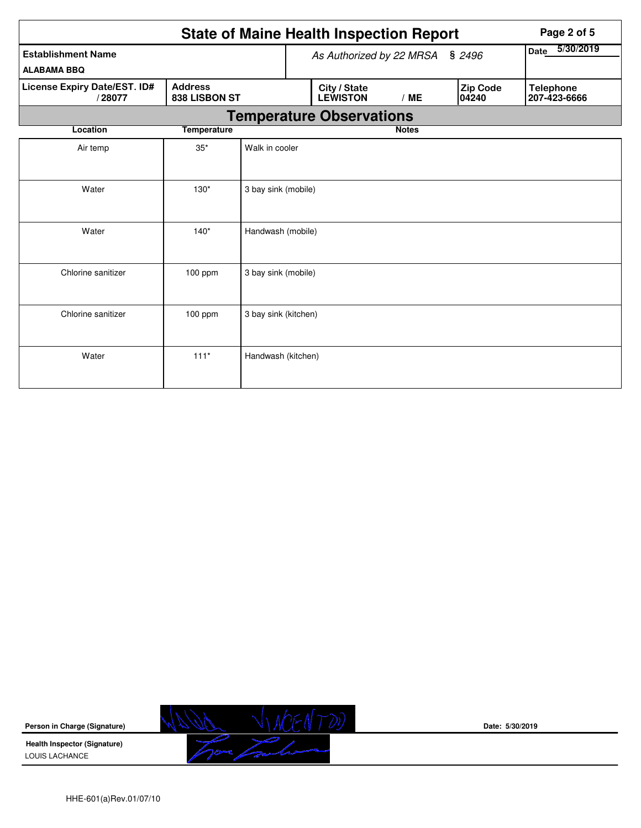| <b>State of Maine Health Inspection Report</b>                            |                    |                                    |  |                                 |              |                          |                   | Page 2 of 5                      |  |  |
|---------------------------------------------------------------------------|--------------------|------------------------------------|--|---------------------------------|--------------|--------------------------|-------------------|----------------------------------|--|--|
| <b>Establishment Name</b><br><b>ALABAMA BBQ</b>                           |                    | As Authorized by 22 MRSA<br>\$2496 |  |                                 |              | 5/30/2019<br><b>Date</b> |                   |                                  |  |  |
| <b>Address</b><br>License Expiry Date/EST. ID#<br>838 LISBON ST<br>/28077 |                    |                                    |  | City / State<br><b>LEWISTON</b> | /ME          |                          | Zip Code<br>04240 | <b>Telephone</b><br>207-423-6666 |  |  |
|                                                                           |                    |                                    |  | <b>Temperature Observations</b> |              |                          |                   |                                  |  |  |
| Location                                                                  | <b>Temperature</b> |                                    |  |                                 | <b>Notes</b> |                          |                   |                                  |  |  |
| Air temp                                                                  | $35*$              | Walk in cooler                     |  |                                 |              |                          |                   |                                  |  |  |
| Water                                                                     | $130*$             | 3 bay sink (mobile)                |  |                                 |              |                          |                   |                                  |  |  |
| Water                                                                     | $140*$             | Handwash (mobile)                  |  |                                 |              |                          |                   |                                  |  |  |
| Chlorine sanitizer                                                        | $100$ ppm          | 3 bay sink (mobile)                |  |                                 |              |                          |                   |                                  |  |  |
| Chlorine sanitizer                                                        | 100 ppm            | 3 bay sink (kitchen)               |  |                                 |              |                          |                   |                                  |  |  |
| Water                                                                     | $111*$             | Handwash (kitchen)                 |  |                                 |              |                          |                   |                                  |  |  |

**Person in Charge (Signature)**

**Health Inspector (Signature)**  LOUIS LACHANCE



**Date: 5/30/2019**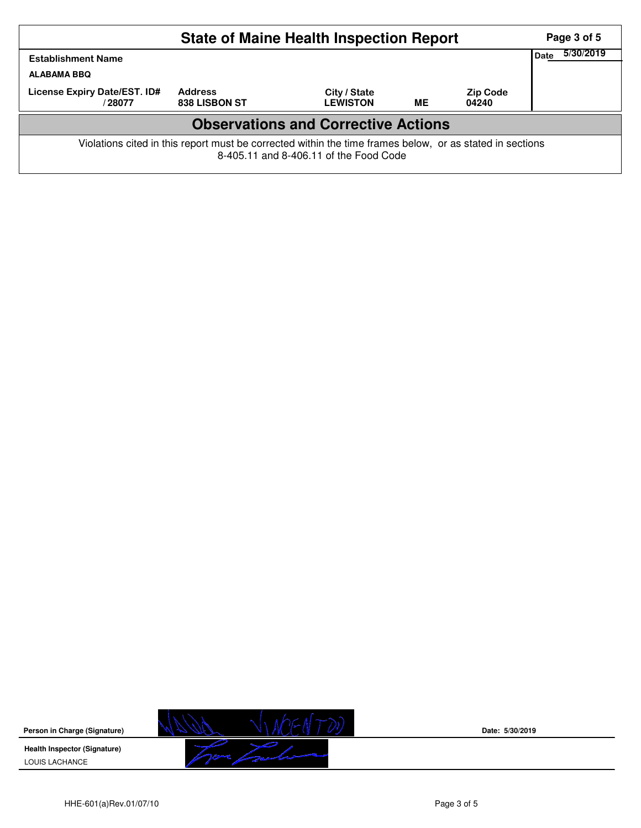|                                                                                                                                                    |                                        | Page 3 of 5                     |    |                          |  |  |  |  |  |  |
|----------------------------------------------------------------------------------------------------------------------------------------------------|----------------------------------------|---------------------------------|----|--------------------------|--|--|--|--|--|--|
| <b>Establishment Name</b>                                                                                                                          | Date                                   | 5/30/2019                       |    |                          |  |  |  |  |  |  |
| <b>ALABAMA BBQ</b>                                                                                                                                 |                                        |                                 |    |                          |  |  |  |  |  |  |
| License Expiry Date/EST. ID#<br>/28077                                                                                                             | <b>Address</b><br><b>838 LISBON ST</b> | City / State<br><b>LEWISTON</b> | MЕ | <b>Zip Code</b><br>04240 |  |  |  |  |  |  |
| <b>Observations and Corrective Actions</b>                                                                                                         |                                        |                                 |    |                          |  |  |  |  |  |  |
| Violations cited in this report must be corrected within the time frames below, or as stated in sections<br>8-405.11 and 8-406.11 of the Food Code |                                        |                                 |    |                          |  |  |  |  |  |  |

**Person in Charge (Signature) Health Inspector (Signature)** 

LOUIS LACHANCE



**Date: 5/30/2019**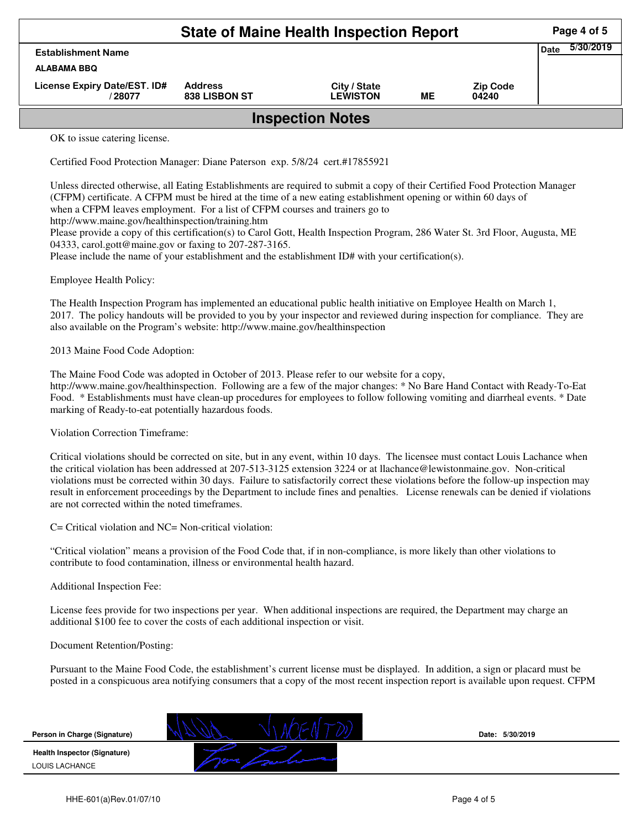|                                        | Page 4 of 5                            |                                 |    |                          |  |  |  |  |  |
|----------------------------------------|----------------------------------------|---------------------------------|----|--------------------------|--|--|--|--|--|
| <b>Establishment Name</b>              | 5/30/2019<br>Date                      |                                 |    |                          |  |  |  |  |  |
| <b>ALABAMA BBQ</b>                     |                                        |                                 |    |                          |  |  |  |  |  |
| License Expiry Date/EST. ID#<br>/28077 | <b>Address</b><br><b>838 LISBON ST</b> | City / State<br><b>LEWISTON</b> | ME | <b>Zip Code</b><br>04240 |  |  |  |  |  |
| <b>Inspection Notes</b>                |                                        |                                 |    |                          |  |  |  |  |  |
| $\alpha$ to issue setemna linearce     |                                        |                                 |    |                          |  |  |  |  |  |

OK to issue catering license.

Certified Food Protection Manager: Diane Paterson exp. 5/8/24 cert.#17855921

Unless directed otherwise, all Eating Establishments are required to submit a copy of their Certified Food Protection Manager (CFPM) certificate. A CFPM must be hired at the time of a new eating establishment opening or within 60 days of when a CFPM leaves employment. For a list of CFPM courses and trainers go to

http://www.maine.gov/healthinspection/training.htm

Please provide a copy of this certification(s) to Carol Gott, Health Inspection Program, 286 Water St. 3rd Floor, Augusta, ME 04333, carol.gott@maine.gov or faxing to 207-287-3165.

Please include the name of your establishment and the establishment ID# with your certification(s).

Employee Health Policy:

The Health Inspection Program has implemented an educational public health initiative on Employee Health on March 1, 2017. The policy handouts will be provided to you by your inspector and reviewed during inspection for compliance. They are also available on the Program's website: http://www.maine.gov/healthinspection

2013 Maine Food Code Adoption:

The Maine Food Code was adopted in October of 2013. Please refer to our website for a copy, http://www.maine.gov/healthinspection. Following are a few of the major changes: \* No Bare Hand Contact with Ready-To-Eat Food. \* Establishments must have clean-up procedures for employees to follow following vomiting and diarrheal events. \* Date marking of Ready-to-eat potentially hazardous foods.

Violation Correction Timeframe:

Critical violations should be corrected on site, but in any event, within 10 days. The licensee must contact Louis Lachance when the critical violation has been addressed at 207-513-3125 extension 3224 or at llachance@lewistonmaine.gov. Non-critical violations must be corrected within 30 days. Failure to satisfactorily correct these violations before the follow-up inspection may result in enforcement proceedings by the Department to include fines and penalties. License renewals can be denied if violations are not corrected within the noted timeframes.

C= Critical violation and NC= Non-critical violation:

"Critical violation" means a provision of the Food Code that, if in non-compliance, is more likely than other violations to contribute to food contamination, illness or environmental health hazard.

Additional Inspection Fee:

License fees provide for two inspections per year. When additional inspections are required, the Department may charge an additional \$100 fee to cover the costs of each additional inspection or visit.

Document Retention/Posting:

Pursuant to the Maine Food Code, the establishment's current license must be displayed. In addition, a sign or placard must be posted in a conspicuous area notifying consumers that a copy of the most recent inspection report is available upon request. CFPM